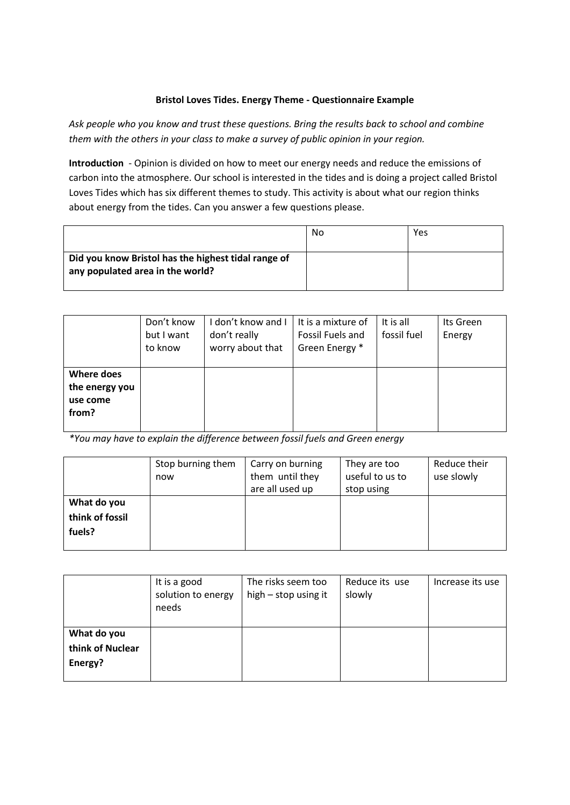## **Bristol Loves Tides. Energy Theme - Questionnaire Example**

*Ask people who you know and trust these questions. Bring the results back to school and combine them with the others in your class to make a survey of public opinion in your region.*

**Introduction** - Opinion is divided on how to meet our energy needs and reduce the emissions of carbon into the atmosphere. Our school is interested in the tides and is doing a project called Bristol Loves Tides which has six different themes to study. This activity is about what our region thinks about energy from the tides. Can you answer a few questions please.

|                                                                                         | No | Yes |
|-----------------------------------------------------------------------------------------|----|-----|
| Did you know Bristol has the highest tidal range of<br>any populated area in the world? |    |     |

|                                                   | Don't know<br>but I want<br>to know | I don't know and I<br>don't really<br>worry about that | It is a mixture of<br>Fossil Fuels and<br>Green Energy * | It is all<br>fossil fuel | Its Green<br>Energy |
|---------------------------------------------------|-------------------------------------|--------------------------------------------------------|----------------------------------------------------------|--------------------------|---------------------|
| Where does<br>the energy you<br>use come<br>from? |                                     |                                                        |                                                          |                          |                     |

*\*You may have to explain the difference between fossil fuels and Green energy*

|                                          | Stop burning them<br>now | Carry on burning<br>them until they<br>are all used up | They are too<br>useful to us to<br>stop using | Reduce their<br>use slowly |
|------------------------------------------|--------------------------|--------------------------------------------------------|-----------------------------------------------|----------------------------|
| What do you<br>think of fossil<br>fuels? |                          |                                                        |                                               |                            |

|                                            | It is a good<br>solution to energy<br>needs | The risks seem too<br>high – stop using it | Reduce its use<br>slowly | Increase its use |
|--------------------------------------------|---------------------------------------------|--------------------------------------------|--------------------------|------------------|
| What do you<br>think of Nuclear<br>Energy? |                                             |                                            |                          |                  |